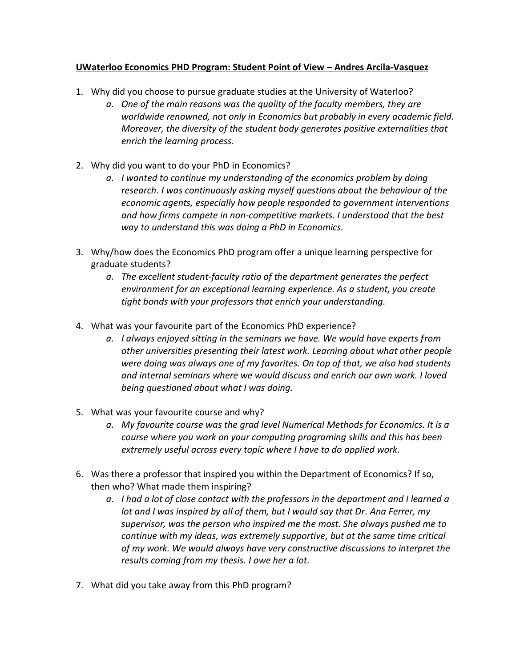## **UWaterloo Economics PHD Program: Student Point of View – Andres Arcila-Vasquez**

- 1. Why did you choose to pursue graduate studies at the University of Waterloo?
	- *a. One of the main reasons was the quality of the faculty members, they are worldwide renowned, not only in Economics but probably in every academic field. Moreover, the diversity of the student body generates positive externalities that enrich the learning process.*
- 2. Why did you want to do your PhD in Economics?
	- *a. I wanted to continue my understanding of the economics problem by doing research. I was continuously asking myself questions about the behaviour of the economic agents, especially how people responded to government interventions and how firms compete in non-competitive markets. I understood that the best way to understand this was doing a PhD in Economics.*
- 3. Why/how does the Economics PhD program offer a unique learning perspective for graduate students?
	- *a. The excellent student-faculty ratio of the department generates the perfect environment for an exceptional learning experience. As a student, you create tight bonds with your professors that enrich your understanding.*
- 4. What was your favourite part of the Economics PhD experience?
	- *a. I always enjoyed sitting in the seminars we have. We would have experts from other universities presenting their latest work. Learning about what other people were doing was always one of my favorites. On top of that, we also had students and internal seminars where we would discuss and enrich our own work. I loved being questioned about what I was doing.*
- 5. What was your favourite course and why?
	- *a. My favourite course was the grad level Numerical Methods for Economics. It is a course where you work on your computing programing skills and this has been extremely useful across every topic where I have to do applied work.*
- 6. Was there a professor that inspired you within the Department of Economics? If so, then who? What made them inspiring?
	- *a. I had a lot of close contact with the professors in the department and I learned a lot and I was inspired by all of them, but I would say that Dr. Ana Ferrer, my supervisor, was the person who inspired me the most. She always pushed me to continue with my ideas, was extremely supportive, but at the same time critical of my work. We would always have very constructive discussions to interpret the results coming from my thesis. I owe her a lot.*
- 7. What did you take away from this PhD program?